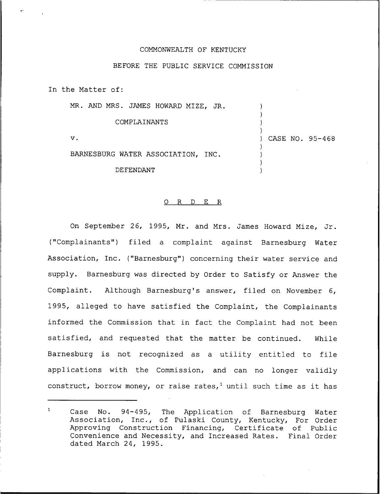## COMMONWEALTH OF KENTUCKY

## BEFORE THE PUBLIC SERVICE COMMISSION

In the Matter of:

MR. AND MRS. JAMES HOWARD MIZE, JR.

COMPLAINANTS

V.

) CASE NO. 95-468

) ) ) )

) ) ) )

BARNESBURG WATER ASSOCIATION, INC.

DEFENDANT

## 0 R <sup>D</sup> E R

On September 26, 1995, Mr. and Mrs. James Howard Mize, Jr. ("Complainants") filed <sup>a</sup> complaint against Barnesburg Water Association, Inc. ("Barnesburg") concerning their water service and supply. Barnesburg was directed by Order to Satisfy or Answer the Complaint. Although Barnesburg's answer, filed on November 6, 1995, alleged to have satisfied the Complaint, the Complainants informed the Commission that in fact the Complaint had not been satisfied, and requested that the matter be continued. While Barnesburg is not recognized as <sup>a</sup> utility entitled to file applications with the Commission, and can no longer validly construct, borrow money, or raise rates,<sup>1</sup> until such time as it has

 $\mathbf{1}$ Case No. 94-495, The Application of Barnesburg Water Association, Inc., of Pulaski County, Kentucky, For Order Approving Construction Financing, Certificate of Public Convenience and Necessity, and Increased Rates. Final Order dated March 24, 1995.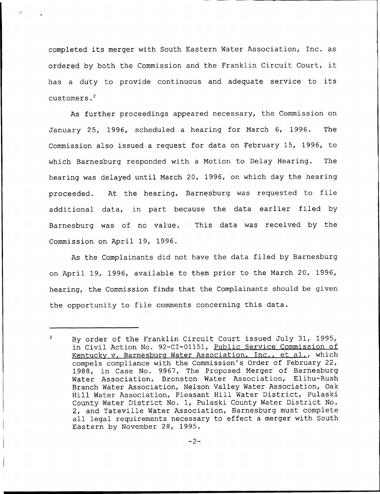completed its merger with South Eastern Water Association, Inc. as ordered by both the Commission and the Franklin Circuit Court, it has <sup>a</sup> duty to provide continuous and adequate service to its customers.<sup>2</sup>

As further proceedings appeared necessary, the Commission on January 25, 1996, scheduled a hearing for March 6, 1996. The Commission also issued a request for data on February 15, 1996, to which Barnesburg responded with a Motion to Delay Hearing. The hearing was delayed until March 20, 1996, on which day the hearing proceeded. At the hearing, Barnesburg was requested to file additional data, in part because the data earlier filed by Barnesburg was of no value. This data was received by the Commission on April 19, 1996.

As the Complainants did not have the data filed by Barnesburg on April 19, 1996, available to them prior to the March 20, 1996, hearing, the Commission finds that the Complainants should be given the opportunity to file comments concerning this data.

 $\overline{2}$ By order of the Franklin Circuit Court issued July 31, 1995, in Civil Action No. 92-CI-01151, Public Service Commission of Kentuckv v. Barnesbura Water Association, Inc., et al., which compels compliance with the Commission's Order of February 22, 1988, in Case No. 9967, The Proposed Merger of Barnesburg Water Association, Bronston Water Association, Elihu-Rush Branch Water Association, Nelson Valley Water Association, Oak Hill Water Association, Pleasant Hill Water District, Pulaski County Water District No. 1, Pulaski County Water District No. 2, and Tateville Water Association, Barnesburg must complete all legal requirements necessary to effect a merger with South Eastern by November 28, 1995.